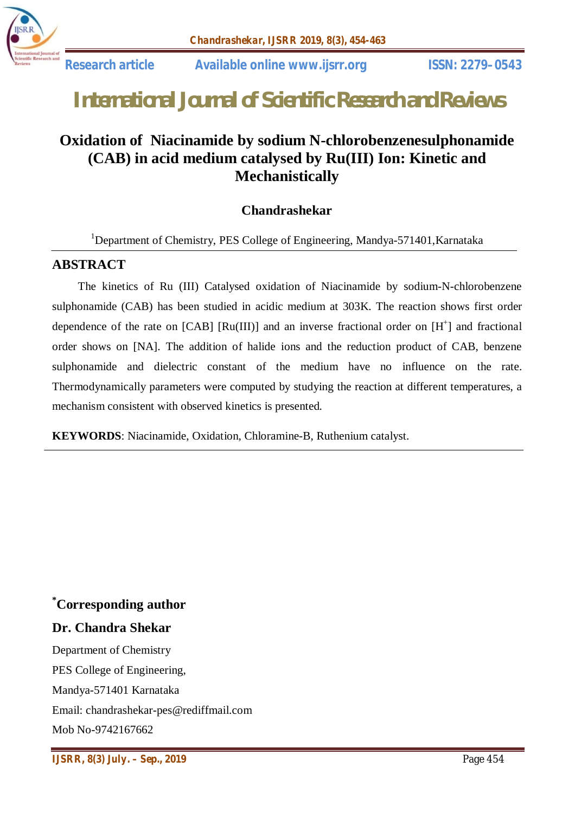

# *International Journal of Scientific Research and Reviews*

# **Oxidation of Niacinamide by sodium N-chlorobenzenesulphonamide (CAB) in acid medium catalysed by Ru(III) Ion: Kinetic and Mechanistically**

# **Chandrashekar**

<sup>1</sup>Department of Chemistry, PES College of Engineering, Mandya-571401, Karnataka

#### **ABSTRACT**

 The kinetics of Ru (III) Catalysed oxidation of Niacinamide by sodium-N-chlorobenzene sulphonamide (CAB) has been studied in acidic medium at 303K. The reaction shows first order dependence of the rate on [CAB] [Ru(III)] and an inverse fractional order on  $[H^+]$  and fractional order shows on [NA]. The addition of halide ions and the reduction product of CAB, benzene sulphonamide and dielectric constant of the medium have no influence on the rate. Thermodynamically parameters were computed by studying the reaction at different temperatures, a mechanism consistent with observed kinetics is presented.

**KEYWORDS**: Niacinamide, Oxidation, Chloramine-B, Ruthenium catalyst.

# **\*Corresponding author**

# **Dr. Chandra Shekar**

Department of Chemistry PES College of Engineering, Mandya-571401 Karnataka Email: chandrashekar-pes@rediffmail.com Mob No-9742167662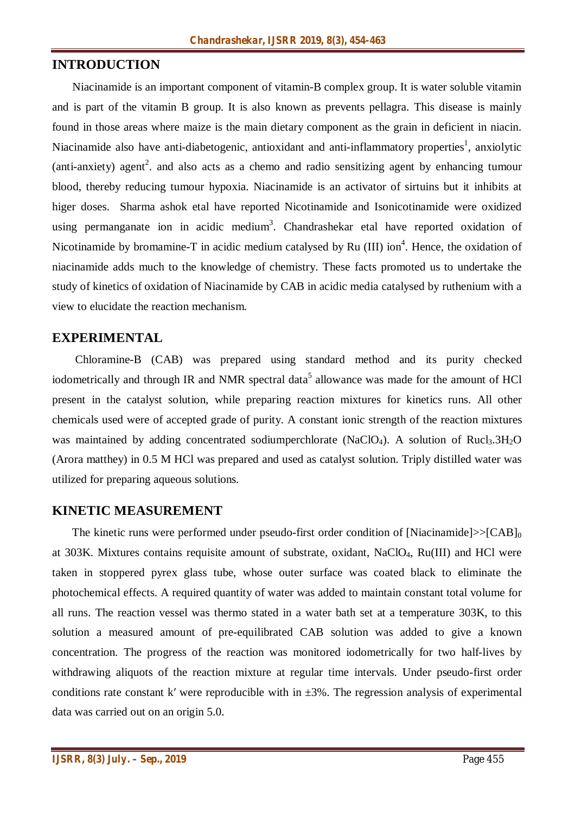#### **INTRODUCTION**

 Niacinamide is an important component of vitamin-B complex group. It is water soluble vitamin and is part of the vitamin B group. It is also known as prevents pellagra. This disease is mainly found in those areas where maize is the main dietary component as the grain in deficient in niacin. Niacinamide also have anti-diabetogenic, antioxidant and anti-inflammatory properties<sup>1</sup>, anxiolytic (anti-anxiety) agent<sup>2</sup>. and also acts as a chemo and radio sensitizing agent by enhancing tumour blood, thereby reducing tumour hypoxia. Niacinamide is an activator of sirtuins but it inhibits at higer doses. Sharma ashok etal have reported Nicotinamide and Isonicotinamide were oxidized using permanganate ion in acidic medium<sup>3</sup>. Chandrashekar etal have reported oxidation of Nicotinamide by bromamine-T in acidic medium catalysed by Ru  $(III)$  ion<sup>4</sup>. Hence, the oxidation of niacinamide adds much to the knowledge of chemistry. These facts promoted us to undertake the study of kinetics of oxidation of Niacinamide by CAB in acidic media catalysed by ruthenium with a view to elucidate the reaction mechanism.

#### **EXPERIMENTAL**

 Chloramine-B (CAB) was prepared using standard method and its purity checked iodometrically and through IR and NMR spectral data<sup>5</sup> allowance was made for the amount of HCl present in the catalyst solution, while preparing reaction mixtures for kinetics runs. All other chemicals used were of accepted grade of purity. A constant ionic strength of the reaction mixtures was maintained by adding concentrated sodiumperchlorate (NaClO<sub>4</sub>). A solution of Rucl<sub>3</sub>.3H<sub>2</sub>O (Arora matthey) in 0.5 M HCl was prepared and used as catalyst solution. Triply distilled water was utilized for preparing aqueous solutions.

#### **KINETIC MEASUREMENT**

The kinetic runs were performed under pseudo-first order condition of [Niacinamide]>>[CAB]<sub>0</sub> at 303K. Mixtures contains requisite amount of substrate, oxidant, NaClO4, Ru(III) and HCl were taken in stoppered pyrex glass tube, whose outer surface was coated black to eliminate the photochemical effects. A required quantity of water was added to maintain constant total volume for all runs. The reaction vessel was thermo stated in a water bath set at a temperature 303K, to this solution a measured amount of pre-equilibrated CAB solution was added to give a known concentration. The progress of the reaction was monitored iodometrically for two half-lives by withdrawing aliquots of the reaction mixture at regular time intervals. Under pseudo-first order conditions rate constant k' were reproducible with in  $\pm 3\%$ . The regression analysis of experimental data was carried out on an origin 5.0.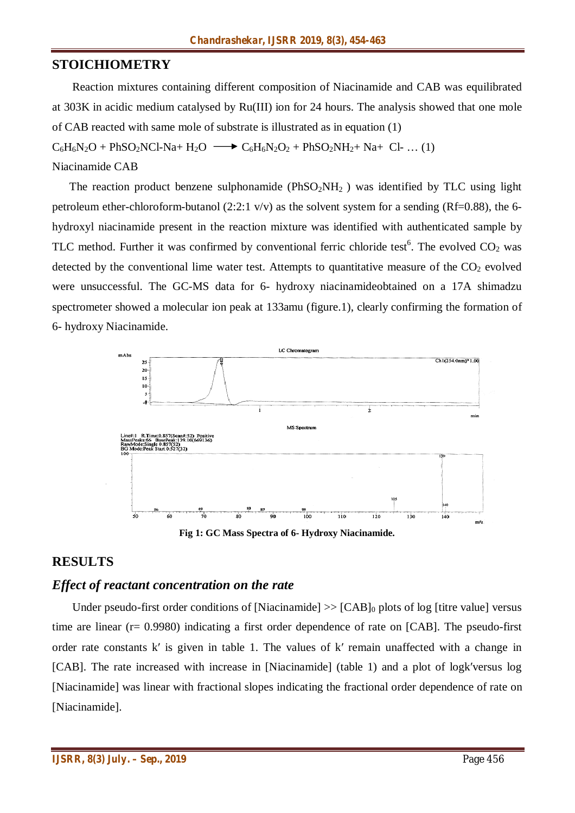#### **STOICHIOMETRY**

 Reaction mixtures containing different composition of Niacinamide and CAB was equilibrated at 303K in acidic medium catalysed by Ru(III) ion for 24 hours. The analysis showed that one mole of CAB reacted with same mole of substrate is illustrated as in equation (1)  $C_6H_6N_2O + PhSO_2NCl-Na+ H_2O \longrightarrow C_6H_6N_2O_2 + PhSO_2NH_2 + Na+ Cl- ... (1)$ 

Niacinamide CAB

The reaction product benzene sulphonamide ( $PhSO<sub>2</sub>NH<sub>2</sub>$ ) was identified by TLC using light petroleum ether-chloroform-butanol (2:2:1  $v/v$ ) as the solvent system for a sending (Rf=0.88), the 6hydroxyl niacinamide present in the reaction mixture was identified with authenticated sample by TLC method. Further it was confirmed by conventional ferric chloride test<sup>6</sup>. The evolved  $CO_2$  was detected by the conventional lime water test. Attempts to quantitative measure of the  $CO<sub>2</sub>$  evolved were unsuccessful. The GC-MS data for 6- hydroxy niacinamideobtained on a 17A shimadzu spectrometer showed a molecular ion peak at 133amu (figure.1), clearly confirming the formation of 6- hydroxy Niacinamide.



**Fig 1: GC Mass Spectra of 6- Hydroxy Niacinamide.**

# **RESULTS**

#### *Effect of reactant concentration on the rate*

Under pseudo-first order conditions of [Niacinamide]  $\gg$  [CAB]<sub>0</sub> plots of log [titre value] versus time are linear (r= 0.9980) indicating a first order dependence of rate on [CAB]. The pseudo-first order rate constants k′ is given in table 1. The values of k′ remain unaffected with a change in [CAB]. The rate increased with increase in [Niacinamide] (table 1) and a plot of logk′versus log [Niacinamide] was linear with fractional slopes indicating the fractional order dependence of rate on [Niacinamide].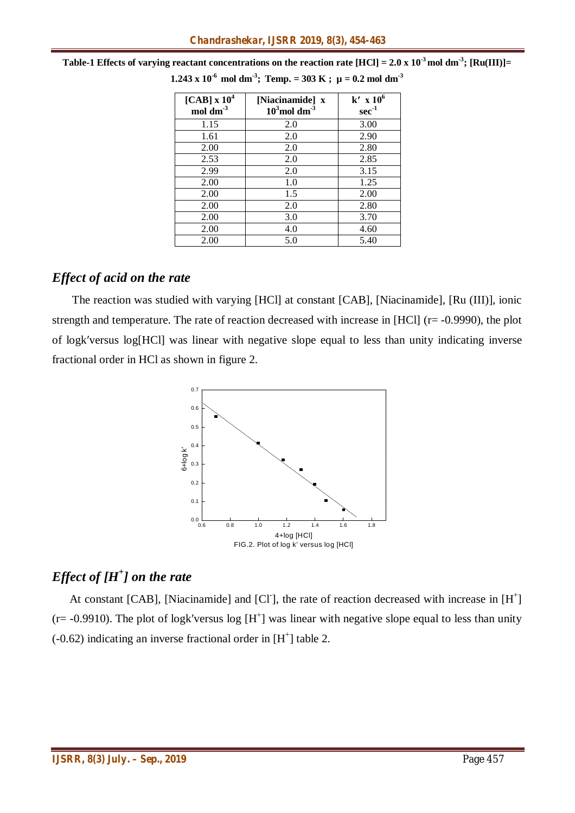| [CAB] $\rm x~10^4$<br>$mol \, \text{dm}^3$ | [Niacinamide] x<br>$103$ moldm <sup>3</sup> | $k'$ x $106$<br>$\sec^{-1}$ |
|--------------------------------------------|---------------------------------------------|-----------------------------|
| 1.15                                       | 2.0                                         | 3.00                        |
| 1.61                                       | 2.0                                         | 2.90                        |
| 2.00                                       | 2.0                                         | 2.80                        |
| 2.53                                       | 2.0                                         | 2.85                        |
| 2.99                                       | 2.0                                         | 3.15                        |
| 2.00                                       | 1.0                                         | 1.25                        |
| 2.00                                       | 1.5                                         | 2.00                        |
| 2.00                                       | 2.0                                         | 2.80                        |
| 2.00                                       | 3.0                                         | 3.70                        |
| 2.00                                       | 4.0                                         | 4.60                        |
| 2.00                                       | 5.0                                         | 5.40                        |

**Table-1 Effects of varying reactant concentrations on the reaction rate [HCl] =**  $2.0 \times 10^{-3}$  **mol dm<sup>-3</sup>; [Ru(III)]= 1.243 x 10<sup>-6</sup> mol dm<sup>-3</sup>; Temp. = 303 K ;**  $\mu$  **= 0.2 mol dm<sup>-3</sup>** 

# *Effect of acid on the rate*

 The reaction was studied with varying [HCl] at constant [CAB], [Niacinamide], [Ru (III)], ionic strength and temperature. The rate of reaction decreased with increase in [HCl] (r= -0.9990), the plot of logk′versus log[HCl] was linear with negative slope equal to less than unity indicating inverse fractional order in HCl as shown in figure 2.



# *Effect of [H<sup>+</sup> ] on the rate*

At constant [CAB], [Niacinamide] and [Cl<sup>-</sup>], the rate of reaction decreased with increase in [H<sup>+</sup>]  $(r = -0.9910)$ . The plot of logk'versus log  $[H^+]$  was linear with negative slope equal to less than unity  $(-0.62)$  indicating an inverse fractional order in [H<sup>+</sup>] table 2.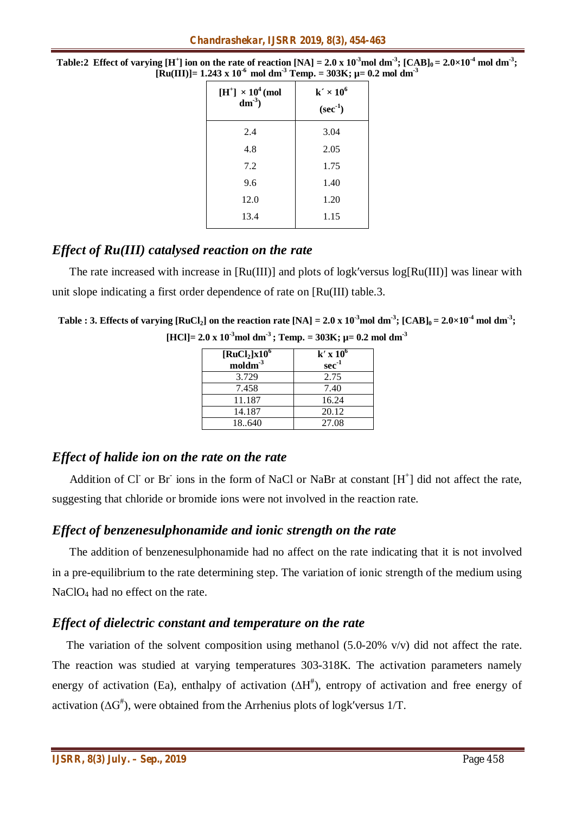| $[H^+] \times 10^4$ (mol<br>$dm^{-3}$ | $k' \times 10^6$<br>$(\sec^{-1})$ |
|---------------------------------------|-----------------------------------|
| 2.4                                   | 3.04                              |
| 4.8                                   | 2.05                              |
| 7.2                                   | 1.75                              |
| 9.6                                   | 1.40                              |
| 12.0                                  | 1.20                              |
| 13.4                                  | 1.15                              |

**Table:2** Effect of varying [H<sup>+</sup>] ion on the rate of reaction [NA] = 2.0 x  $10^3$ mol dm $^3$ ; [CAB] $_0$  = 2.0×10<sup>-4</sup> mol dm $^3$ ;  $[\text{Ru(III)}] = 1.243 \times 10^{-6} \text{ mol dm}^{-3}$  Temp. = 303K;  $\mu = 0.2 \text{ mol dm}^{-3}$ 

# *Effect of Ru(III) catalysed reaction on the rate*

The rate increased with increase in [Ru(III)] and plots of logk′versus log[Ru(III)] was linear with unit slope indicating a first order dependence of rate on [Ru(III) table.3.

| Table : 3. Effects of varying [RuCl <sub>2</sub> ] on the reaction rate [NA] = 2.0 x 10 <sup>-3</sup> mol dm <sup>-3</sup> ; [CAB] <sub>0</sub> = 2.0×10 <sup>-4</sup> mol dm <sup>-3</sup> ; |  |
|-----------------------------------------------------------------------------------------------------------------------------------------------------------------------------------------------|--|
| [HCl]= 2.0 x 10 <sup>-3</sup> mol dm <sup>-3</sup> ; Temp. = 303K; $\mu$ = 0.2 mol dm <sup>-3</sup>                                                                                           |  |

| $\left[\text{RuCl}_{2}\right] \times 10^{6}$<br>$modm-3$ | $k' \times 10^6$<br>$\sec^{-1}$ |
|----------------------------------------------------------|---------------------------------|
| 3.729                                                    | 2.75                            |
| 7.458                                                    | 7.40                            |
| 11.187                                                   | 16.24                           |
| 14.187                                                   | 20.12                           |
| 18640                                                    | 27.08                           |

# *Effect of halide ion on the rate on the rate*

Addition of CI or Br ions in the form of NaCl or NaBr at constant [H<sup>+</sup>] did not affect the rate, suggesting that chloride or bromide ions were not involved in the reaction rate.

# *Effect of benzenesulphonamide and ionic strength on the rate*

 The addition of benzenesulphonamide had no affect on the rate indicating that it is not involved in a pre-equilibrium to the rate determining step. The variation of ionic strength of the medium using NaClO<sub>4</sub> had no effect on the rate.

# *Effect of dielectric constant and temperature on the rate*

The variation of the solvent composition using methanol (5.0-20% v/v) did not affect the rate. The reaction was studied at varying temperatures 303-318K. The activation parameters namely energy of activation (Ea), enthalpy of activation (∆H<sup>#</sup>), entropy of activation and free energy of activation ( $\Delta G^{\#}$ ), were obtained from the Arrhenius plots of logk′versus 1/T.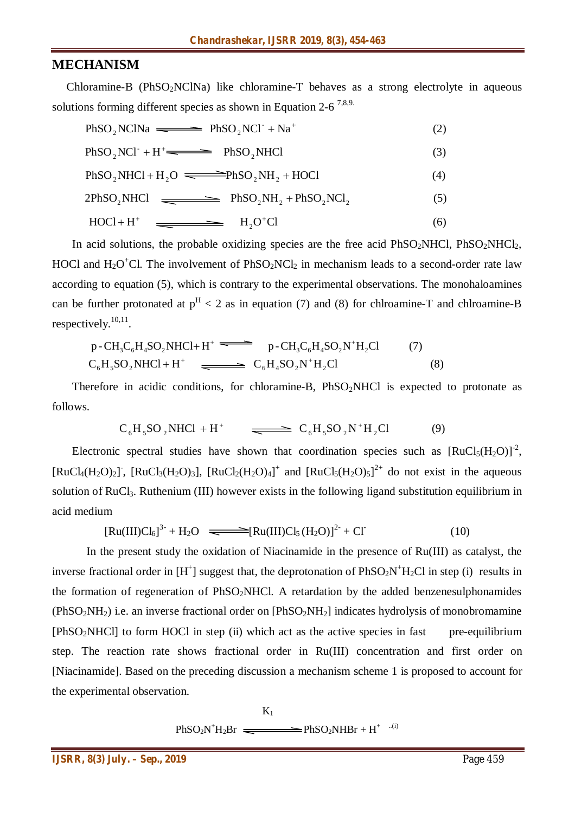#### **MECHANISM**

 Chloramine-B (PhSO2NClNa) like chloramine-T behaves as a strong electrolyte in aqueous solutions forming different species as shown in Equation 2-6<sup>7,8,9.</sup>

 $PhSO_2NClNa \longrightarrow PhSO_2NCl^+ + Na^+$  (2)  $+$  Na<sup>+</sup>  $PhSO_2NCI^+ + H^+ \longrightarrow \qquad PhSO_2NHCl$  (3) 2  $+H^+$  $PhSO_2NHCl + H_2O \equiv \text{PhSO}_2NH_2 + HOCl$  (4)  $2PhSO_2NHCl \longrightarrow \text{PhSO}_2NH_2 + PhSO_2NCl_2$  (5)  $\text{HOC1} + \text{H}^+$   $\longrightarrow$   $\text{H}_2\text{O}^+\text{Cl}$  (6)

In acid solutions, the probable oxidizing species are the free acid  $PhSO_2NHC$ ,  $PhSO_2NHC$ <sub>1</sub>, HOCl and  $H_2O^+Cl$ . The involvement of  $PhSO_2NCl_2$  in mechanism leads to a second-order rate law according to equation (5), which is contrary to the experimental observations. The monohaloamines can be further protonated at  $p^H < 2$  as in equation (7) and (8) for chlroamine-T and chlroamine-B respectively.<sup>10,11</sup>.

$$
p\text{-CH}_3\text{C}_6\text{H}_4\text{SO}_2\text{NHCl} + \text{H}^+ \longrightarrow p\text{-CH}_3\text{C}_6\text{H}_4\text{SO}_2\text{N}^+\text{H}_2\text{Cl} \tag{7}
$$
  
\n
$$
\text{C}_6\text{H}_5\text{SO}_2\text{NHCl} + \text{H}^+ \longrightarrow \text{C}_6\text{H}_4\text{SO}_2\text{N}^+\text{H}_2\text{Cl} \tag{8}
$$

Therefore in acidic conditions, for chloramine-B, PhSO<sub>2</sub>NHCl is expected to protonate as follows.

$$
C_6H_5SO_2NHCl + H^+ \qquad \Longleftrightarrow C_6H_5SO_2N^+H_2Cl \tag{9}
$$

Electronic spectral studies have shown that coordination species such as  $[RuCl<sub>5</sub>(H<sub>2</sub>O)]<sup>-2</sup>$ , [RuCl<sub>4</sub>(H<sub>2</sub>O)<sub>2</sub>], [RuCl<sub>3</sub>(H<sub>2</sub>O)<sub>3</sub>], [RuCl<sub>2</sub>(H<sub>2</sub>O)<sub>4</sub>]<sup>+</sup> and [RuCl<sub>5</sub>(H<sub>2</sub>O)<sub>5</sub>]<sup>2+</sup> do not exist in the aqueous solution of RuCl<sub>3</sub>. Ruthenium (III) however exists in the following ligand substitution equilibrium in acid medium

$$
[Ru(III)Cl_6]^{3-} + H_2O \implies [Ru(III)Cl_5(H_2O)]^{2-} + Cl \tag{10}
$$

In the present study the oxidation of Niacinamide in the presence of Ru(III) as catalyst, the inverse fractional order in  $[H^+]$  suggest that, the deprotonation of  $PhSO_2N^+H_2Cl$  in step (i) results in the formation of regeneration of  $PhSO<sub>2</sub>NHCl$ . A retardation by the added benzenesulphonamides  $(PhSO<sub>2</sub>NH<sub>2</sub>)$  i.e. an inverse fractional order on  $[PhSO<sub>2</sub>NH<sub>2</sub>]$  indicates hydrolysis of monobromamine  $[PhSO<sub>2</sub>NHCl]$  to form HOCl in step (ii) which act as the active species in fast pre-equilibrium step. The reaction rate shows fractional order in Ru(III) concentration and first order on [Niacinamide]. Based on the preceding discussion a mechanism scheme 1 is proposed to account for the experimental observation.

$$
K_1
$$
  
PhSO<sub>2</sub>N<sup>+</sup>H<sub>2</sub>Br  $\longrightarrow$  PhSO<sub>2</sub>NHBr + H<sup>+</sup> ...(i)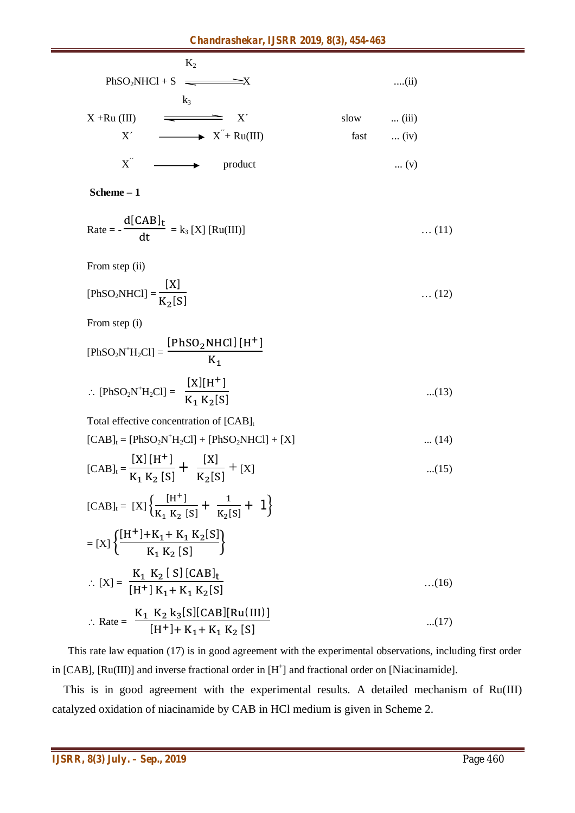|                                       | $K_2$                                     |      |               |
|---------------------------------------|-------------------------------------------|------|---------------|
| $PhSO2NHCl + S$ $\equiv$ $\equiv$ $X$ |                                           |      | $\dots(11)$   |
|                                       | $k_3$                                     |      |               |
| $X + Ru$ (III)                        | X'                                        | slow | $\dots$ (iii) |
| X'                                    | $\longrightarrow$ $X^{\prime}$ + Ru(III)  | fast | $(iv)$        |
|                                       | $X^{\prime}$ $\longrightarrow$<br>product |      | $\dots (v)$   |

#### **Scheme – 1**

$$
Rate = -\frac{d[CAB]_t}{dt} = k_3 [X] [Ru(III)] \qquad \qquad \dots (11)
$$

From step (ii)

[PhSO<sub>2</sub>NHC] = 
$$
\frac{[X]}{K_2[S]}
$$
 ... (12)

From step (i)

[PhSO<sub>2</sub>N<sup>+</sup>H<sub>2</sub>Cl] = 
$$
\frac{[PhSO_{2}NHCl][H^{+}]}{K_{1}}
$$
  
:. [PhSO<sub>2</sub>N<sup>+</sup>H<sub>2</sub>Cl] = 
$$
\frac{[X][H^{+}]}{K_{1} K_{2}[S]}
$$
...(13)

Total effective concentration of  $[CAB]_t$ 

 $[CAB]_t = [PhSO_2N^+H_2Cl] + [PhSO_2NHCl] + [X]$  ... (14)

$$
[CAB]_{t} = \frac{[X] [H^{+}]}{K_{1} K_{2} [S]} + \frac{[X]}{K_{2} [S]} + [X] \qquad \qquad \dots (15)
$$

[CAB]<sub>t</sub> = [X]
$$
\left\{\frac{[H^+]}{K_1 K_2 [S]} + \frac{1}{K_2 [S]} + 1\right\}
$$
  
\n= [X] $\left\{\frac{[H^+] + K_1 + K_1 K_2 [S]}{K_1 K_2 [S]} \right\}$   
\n $\therefore [X] = \frac{K_1 K_2 [S] [CAB]_t}{[H^+] K_1 + K_1 K_2 [S]}$ ...(16)  
\n $\therefore$  Rate =  $\frac{K_1 K_2 k_3 [S] [CAB] [Ru(III)]}{[H^+] + K_1 + K_1 K_2 [S]}$ ...(17)

 This rate law equation (17) is in good agreement with the experimental observations, including first order in [CAB], [Ru(III)] and inverse fractional order in  $[H^+]$  and fractional order on [Niacinamide].

 This is in good agreement with the experimental results. A detailed mechanism of Ru(III) catalyzed oxidation of niacinamide by CAB in HCl medium is given in Scheme 2.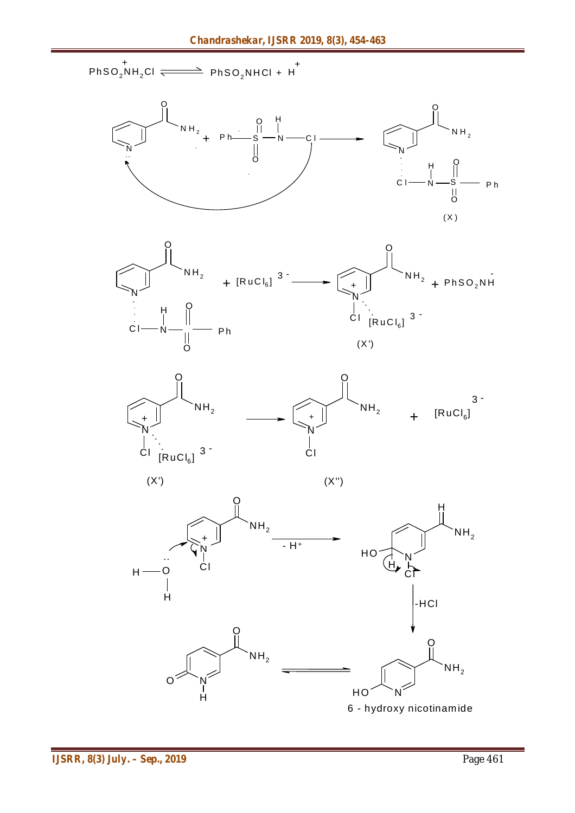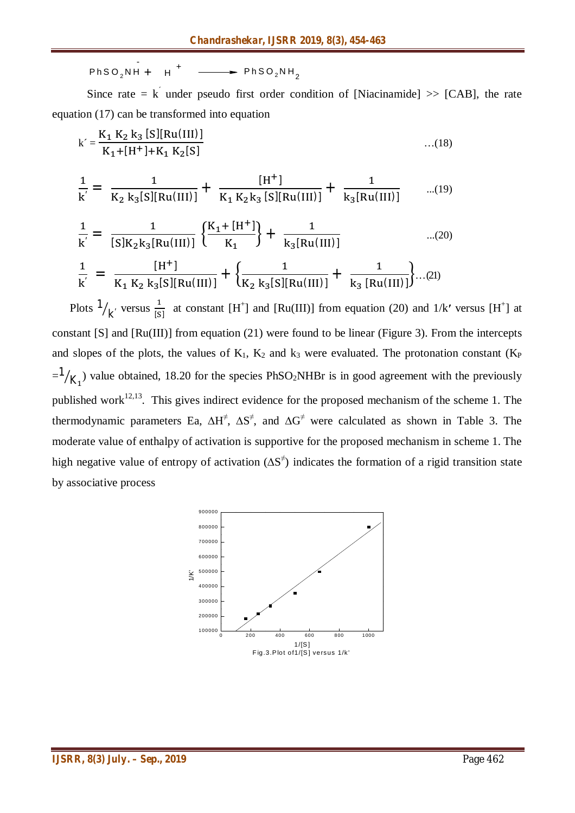$$
PhSO_2NH + H^+ \longrightarrow PhSO_2NH_2
$$

-

Since rate = k under pseudo first order condition of [Niacinamide] >> [CAB], the rate equation (17) can be transformed into equation

$$
k' = \frac{K_1 K_2 k_3 [S][Ru(III)]}{K_1 + [H^+] + K_1 K_2[S]}
$$
...(18)  

$$
\frac{1}{k'} = \frac{1}{K_2 k_3 [S][Ru(III)]} + \frac{[H^+]}{K_1 K_2 k_3 [S][Ru(III)]} + \frac{1}{k_3 [Ru(III)]}
$$
...(19)  
1

$$
\frac{1}{k'} = \frac{1}{[S]K_2k_3[Ru(III)]} \left\{ \frac{K_1 + [H^+] }{K_1} \right\} + \frac{1}{k_3[Ru(III)]}
$$
\n...(20)\n
$$
\frac{1}{k'} = \frac{[H^+] }{K_1 K_2 k_3[S][Ru(III)]} + \left\{ \frac{1}{K_2 k_3[S][Ru(III)]} + \frac{1}{k_3 [Ru(III)]} \right\} \dots (21)
$$

Plots  $\frac{1}{k}$  versus  $\frac{1}{s}$  $\frac{1}{[S]}$  at constant [H<sup>+</sup>] and [Ru(III)] from equation (20) and 1/k' versus [H<sup>+</sup>] at constant [S] and [Ru(III)] from equation (21) were found to be linear (Figure 3). From the intercepts and slopes of the plots, the values of  $K_1$ ,  $K_2$  and  $k_3$  were evaluated. The protonation constant ( $K_P$  $=$ <sup>1</sup>  $\chi_{1}$ ) value obtained, 18.20 for the species PhSO<sub>2</sub>NHBr is in good agreement with the previously published work<sup>12,13</sup>. This gives indirect evidence for the proposed mechanism of the scheme 1. The thermodynamic parameters Ea,  $\Delta H^{\neq}$ ,  $\Delta S^{\neq}$ , and  $\Delta G^{\neq}$  were calculated as shown in Table 3. The moderate value of enthalpy of activation is supportive for the proposed mechanism in scheme 1. The high negative value of entropy of activation  $(\Delta S^{\neq})$  indicates the formation of a rigid transition state by associative process